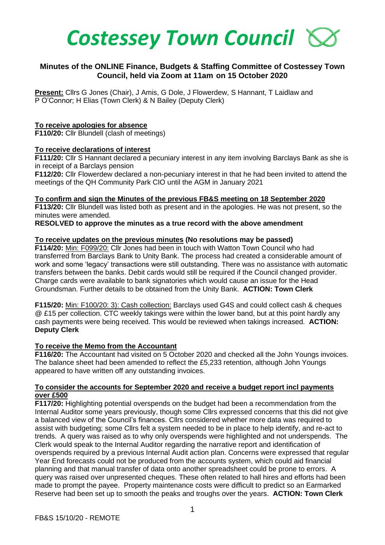

# **Minutes of the ONLINE Finance, Budgets & Staffing Committee of Costessey Town Council, held via Zoom at 11am on 15 October 2020**

**Present:** Cllrs G Jones (Chair), J Amis, G Dole, J Flowerdew, S Hannant, T Laidlaw and P O'Connor; H Elias (Town Clerk) & N Bailey (Deputy Clerk)

### **To receive apologies for absence**

**F110/20:** Cllr Blundell (clash of meetings)

### **To receive declarations of interest**

**F111/20:** Cllr S Hannant declared a pecuniary interest in any item involving Barclays Bank as she is in receipt of a Barclays pension

**F112/20:** Cllr Flowerdew declared a non-pecuniary interest in that he had been invited to attend the meetings of the QH Community Park CIO until the AGM in January 2021

#### **To confirm and sign the Minutes of the previous FB&S meeting on 18 September 2020**

**F113/20:** Cllr Blundell was listed both as present and in the apologies. He was not present, so the minutes were amended.

**RESOLVED to approve the minutes as a true record with the above amendment**

### **To receive updates on the previous minutes (No resolutions may be passed)**

**F114/20:** Min: F099/20: Cllr Jones had been in touch with Watton Town Council who had transferred from Barclays Bank to Unity Bank. The process had created a considerable amount of work and some 'legacy' transactions were still outstanding. There was no assistance with automatic transfers between the banks. Debit cards would still be required if the Council changed provider. Charge cards were available to bank signatories which would cause an issue for the Head Groundsman. Further details to be obtained from the Unity Bank. **ACTION: Town Clerk**

**F115/20:** Min: F100/20: 3): Cash collection: Barclays used G4S and could collect cash & cheques @ £15 per collection. CTC weekly takings were within the lower band, but at this point hardly any cash payments were being received. This would be reviewed when takings increased. **ACTION: Deputy Clerk** 

## **To receive the Memo from the Accountant**

**F116/20:** The Accountant had visited on 5 October 2020 and checked all the John Youngs invoices. The balance sheet had been amended to reflect the £5,233 retention, although John Youngs appeared to have written off any outstanding invoices.

### **To consider the accounts for September 2020 and receive a budget report incl payments over £500**

**F117/20:** Highlighting potential overspends on the budget had been a recommendation from the Internal Auditor some years previously, though some Cllrs expressed concerns that this did not give a balanced view of the Council's finances. Cllrs considered whether more data was required to assist with budgeting; some Cllrs felt a system needed to be in place to help identify, and re-act to trends. A query was raised as to why only overspends were highlighted and not underspends. The Clerk would speak to the Internal Auditor regarding the narrative report and identification of overspends required by a previous Internal Audit action plan. Concerns were expressed that regular Year End forecasts could not be produced from the accounts system, which could aid financial planning and that manual transfer of data onto another spreadsheet could be prone to errors. A query was raised over unpresented cheques. These often related to hall hires and efforts had been made to prompt the payee. Property maintenance costs were difficult to predict so an Earmarked Reserve had been set up to smooth the peaks and troughs over the years. **ACTION: Town Clerk**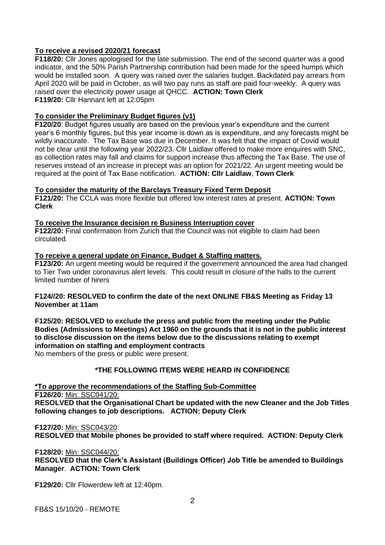## **To receive a revised 2020/21 forecast**

**F118/20:** Cllr Jones apologised for the late submission. The end of the second quarter was a good indicator, and the 50% Parish Partnership contribution had been made for the speed humps which would be installed soon. A query was raised over the salaries budget. Backdated pay arrears from April 2020 will be paid in October, as will two pay runs as staff are paid four-weekly. A query was raised over the electricity power usage at QHCC. **ACTION: Town Clerk F119/20:** Cllr Hannant left at 12:05pm

# **To consider the Preliminary Budget figures (v1)**

**F120/20**: Budget figures usually are based on the previous year's expenditure and the current year's 6 monthly figures, but this year income is down as is expenditure, and any forecasts might be wildly inaccurate. The Tax Base was due in December. It was felt that the impact of Covid would not be clear until the following year 2022/23. Cllr Laidlaw offered to make more enquires with SNC, as collection rates may fall and claims for support increase thus affecting the Tax Base. The use of reserves instead of an increase in precept was an option for 2021/22. An urgent meeting would be required at the point of Tax Base notification. **ACTION: Cllr Laidlaw**, **Town Clerk**

## **To consider the maturity of the Barclays Treasury Fixed Term Deposit**

**F121/20:** The CCLA was more flexible but offered low interest rates at present. **ACTION: Town Clerk** 

# **To receive the Insurance decision re Business Interruption cover**

**F122/20:** Final confirmation from Zurich that the Council was not eligible to claim had been circulated.

### **To receive a general update on Finance, Budget & Staffing matters.**

**F123/20:** An urgent meeting would be required if the government announced the area had changed to Tier Two under coronavirus alert levels. This could result in closure of the halls to the current limited number of hirers

### **F124//20: RESOLVED to confirm the date of the next ONLINE FB&S Meeting as Friday 13 November at 11am**

**F125/20: RESOLVED to exclude the press and public from the meeting under the Public Bodies (Admissions to Meetings) Act 1960 on the grounds that it is not in the public interest to disclose discussion on the items below due to the discussions relating to exempt information on staffing and employment contracts**

No members of the press or public were present.

## **\*THE FOLLOWING ITEMS WERE HEARD IN CONFIDENCE**

**\*To approve the recommendations of the Staffing Sub-Committee F126/20:** Min: SSC041/20: **RESOLVED that the Organisational Chart be updated with the new Cleaner and the Job Titles following changes to job descriptions. ACTION: Deputy Clerk**

**F127/20:** Min: SSC043/20: **RESOLVED that Mobile phones be provided to staff where required. ACTION: Deputy Clerk**

#### **F128/20:** Min: SSC044/20:

**RESOLVED that the Clerk's Assistant (Buildings Officer) Job Title be amended to Buildings Manager**. **ACTION: Town Clerk** 

**F129/20:** Cllr Flowerdew left at 12:40pm.